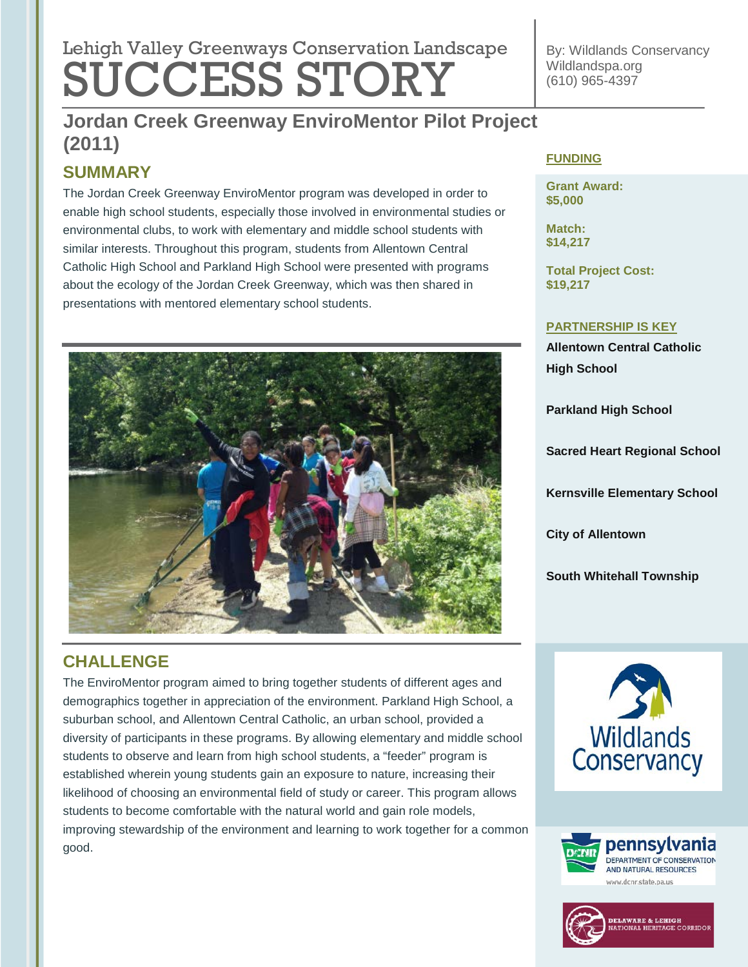# **Advance Environmental Regulation Program (2011)** Lehigh Valley Greenways Conservation Landscape SUCCESS STORY

By: Wildlands Conservancy Wildlandspa.org (610) 965-4397

## **Jordan Creek Greenway EnviroMentor Pilot Project Tree Revitalization (2011) (2011)**

## **SUMMARY**

The Jordan Creek Greenway EnviroMentor program was developed in order to enable high school students, especially those involved in environmental studies or environmental clubs, to work with elementary and middle school students with similar interests. Throughout this program, students from Allentown Central Catholic High School and Parkland High School were presented with programs about the ecology of the Jordan Creek Greenway, which was then shared in presentations with mentored elementary school students.



## **CHALLENGE**

The EnviroMentor program aimed to bring together students of different ages and demographics together in appreciation of the environment. Parkland High School, a suburban school, and Allentown Central Catholic, an urban school, provided a diversity of participants in these programs. By allowing elementary and middle school students to observe and learn from high school students, a "feeder" program is established wherein young students gain an exposure to nature, increasing their likelihood of choosing an environmental field of study or career. This program allows students to become comfortable with the natural world and gain role models, improving stewardship of the environment and learning to work together for a common good.

#### **FUNDING**

**Grant Award: \$5,000**

**Match: \$14,217**

**Total Project Cost: \$19,217**

#### **PARTNERSHIP IS KEY**

**Allentown Central Catholic High School**

**Parkland High School**

**Sacred Heart Regional School** 

**Kernsville Elementary School**

**City of Allentown**

**South Whitehall Township**